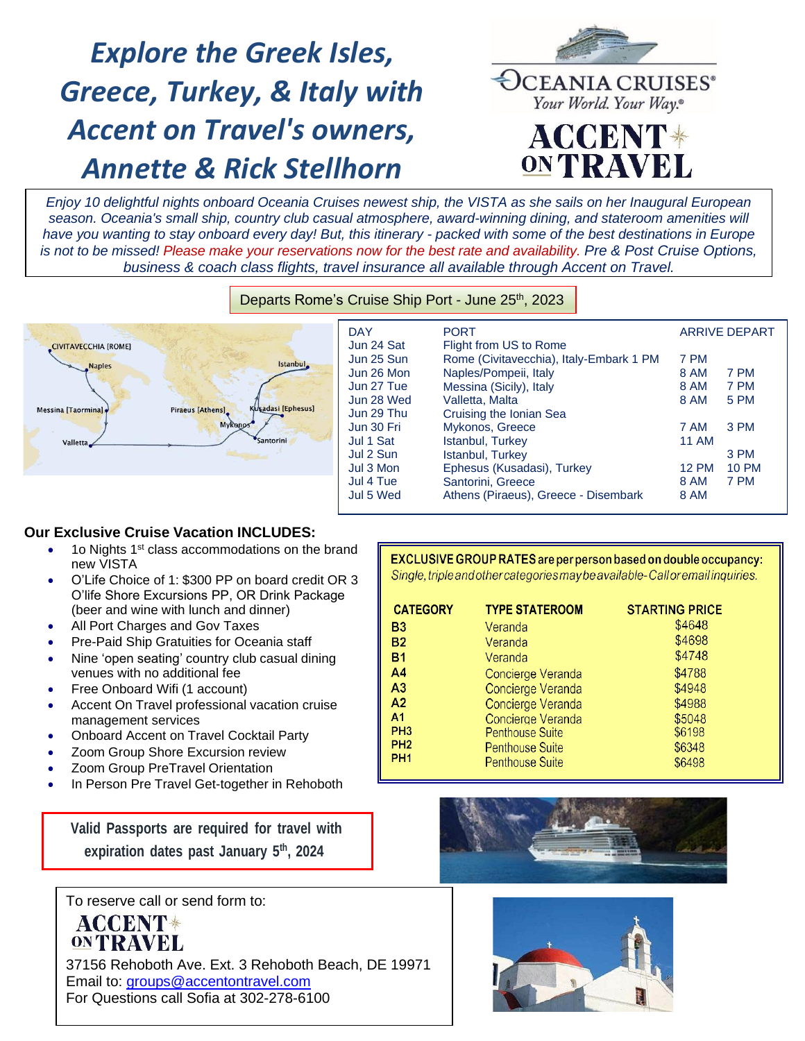# *Explore the Greek Isles, Greece, Turkey, & Italy with Accent on Travel's owners, Annette & Rick Stellhorn*



*Enjoy 10 delightful nights onboard Oceania Cruises newest ship, the VISTA as she sails on her Inaugural European season. Oceania's small ship, country club casual atmosphere, award-winning dining, and stateroom amenities will have you wanting to stay onboard every day! But, this itinerary - packed with some of the best destinations in Europe is not to be missed! Please make your reservations now for the best rate and availability. Pre & Post Cruise Options, business & coach class flights, travel insurance all available through Accent on Travel.*



| <b>CIVITAVECCHIA [ROME]</b>                                    | <b>DAY</b><br>Jun 24 Sat | <b>PORT</b><br>Flight from US to Rome   | <b>ARRIVE DEPART</b> |              |
|----------------------------------------------------------------|--------------------------|-----------------------------------------|----------------------|--------------|
| Istanbul.<br><b>Naples</b>                                     | Jun 25 Sun               | Rome (Civitavecchia), Italy-Embark 1 PM | 7 PM                 |              |
|                                                                | Jun 26 Mon               | Naples/Pompeii, Italy                   | 8 AM                 | 7 PM         |
|                                                                | Jun 27 Tue               | Messina (Sicily), Italy                 | 8 AM                 | 7 PM         |
|                                                                | Jun 28 Wed               | Valletta, Malta                         | 8 AM                 | <b>5 PM</b>  |
| Kusadasi [Ephesus]<br>Piraeus [Athens]<br>Messina [Taormina] . | Jun 29 Thu               | Cruising the Ionian Sea                 |                      |              |
| <b>Mykanos</b>                                                 | Jun 30 Fri               | Mykonos, Greece                         | 7 AM                 | 3 PM         |
| <b>Santorini</b><br>Valletta                                   | Jul 1 Sat                | Istanbul, Turkey                        | <b>11 AM</b>         |              |
|                                                                | Jul 2 Sun                | Istanbul, Turkey                        |                      | 3 PM         |
|                                                                | Jul 3 Mon                | Ephesus (Kusadasi), Turkey              | 12 PM                | <b>10 PM</b> |
|                                                                | Jul 4 Tue                | Santorini, Greece                       | 8 AM                 | 7 PM         |
|                                                                | Jul 5 Wed                | Athens (Piraeus), Greece - Disembark    | 8 AM                 |              |

## **Our Exclusive Cruise Vacation INCLUDES:**

- 1o Nights 1<sup>st</sup> class accommodations on the brand new VISTA
- O'Life Choice of 1: \$300 PP on board credit OR 3 O'life Shore Excursions PP, OR Drink Package (beer and wine with lunch and dinner)
- All Port Charges and Gov Taxes
- Pre-Paid Ship Gratuities for Oceania staff
- Nine 'open seating' country club casual dining venues with no additional fee
- Free Onboard Wifi (1 account)
- Accent On Travel professional vacation cruise management services
- Onboard Accent on Travel Cocktail Party
- Zoom Group Shore Excursion review
- Zoom Group PreTravel Orientation
- In Person Pre Travel Get-together in Rehoboth

**Valid Passports are required for travel with expiration dates past January 5 th , 2024**

To reserve call or send form to:

ACCENT\* **ONTRAVEL** 

37156 Rehoboth Ave. Ext. 3 Rehoboth Beach, DE 19971 Email to: [groups@accentontravel.com](mailto:groups@accentontravel.com) For Questions call Sofia at 302-278-6100

## EXCLUSIVE GROUP RATES are per person based on double occupancy:

Single, triple and other categories may be available-Call or email inquiries.

| <b>CATEGORY</b> | <b>TYPE STATEROOM</b>  | <b>STARTING PRICE</b> |
|-----------------|------------------------|-----------------------|
| B3              | Veranda                | \$4648                |
| <b>B2</b>       | Veranda                | \$4698                |
| <b>B1</b>       | Veranda                | \$4748                |
| A <sub>4</sub>  | Concierge Veranda      | \$4788                |
| A <sub>3</sub>  | Concierge Veranda      | \$4948                |
| A <sub>2</sub>  | Concierge Veranda      | \$4988                |
| A <sub>1</sub>  | Concierge Veranda      | \$5048                |
| PH <sub>3</sub> | <b>Penthouse Suite</b> | \$6198                |
| PH <sub>2</sub> | <b>Penthouse Suite</b> | \$6348                |
| PH <sub>1</sub> | <b>Penthouse Suite</b> | \$6498                |



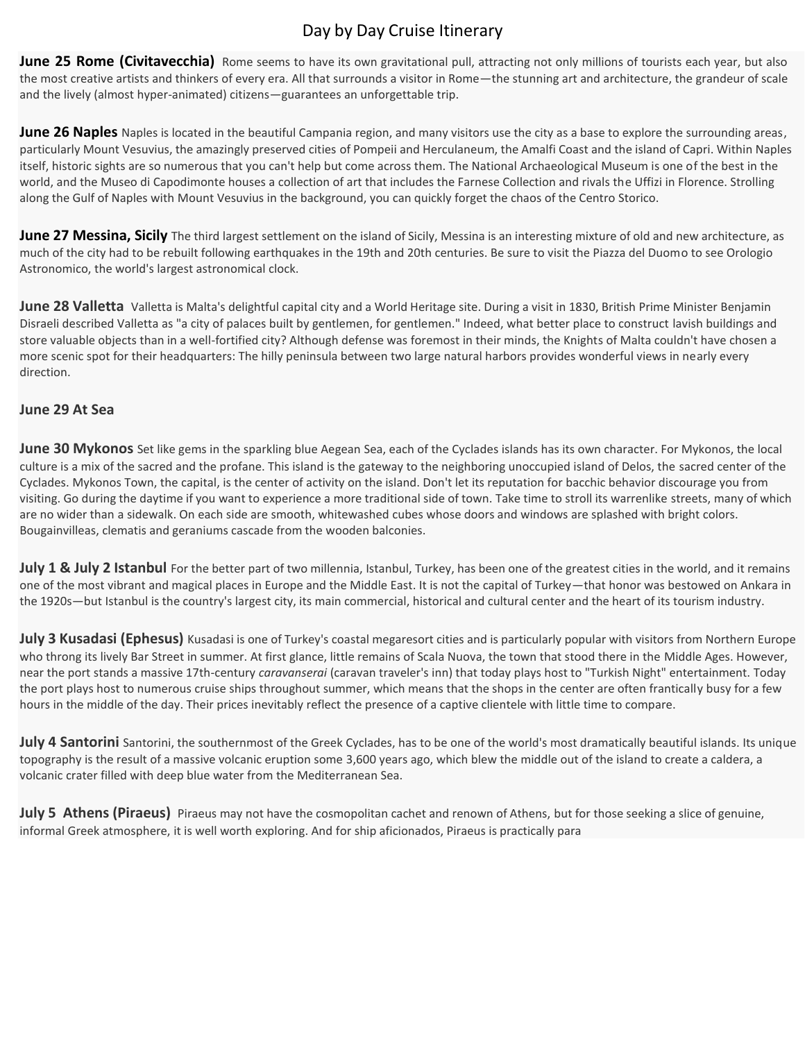# Day by Day Cruise Itinerary

**June 25 Rome (Civitavecchia)** Rome seems to have its own gravitational pull, attracting not only millions of tourists each year, but also the most creative artists and thinkers of every era. All that surrounds a visitor in Rome—the stunning art and architecture, the grandeur of scale and the lively (almost hyper-animated) citizens—guarantees an unforgettable trip.

**June 26 Naples** Naples is located in the beautiful Campania region, and many visitors use the city as a base to explore the surrounding areas, particularly Mount Vesuvius, the amazingly preserved cities of Pompeii and Herculaneum, the Amalfi Coast and the island of Capri. Within Naples itself, historic sights are so numerous that you can't help but come across them. The National Archaeological Museum is one of the best in the world, and the Museo di Capodimonte houses a collection of art that includes the Farnese Collection and rivals the Uffizi in Florence. Strolling along the Gulf of Naples with Mount Vesuvius in the background, you can quickly forget the chaos of the Centro Storico.

**June 27 Messina, Sicily** The third largest settlement on the island of Sicily, Messina is an interesting mixture of old and new architecture, as much of the city had to be rebuilt following earthquakes in the 19th and 20th centuries. Be sure to visit the Piazza del Duomo to see Orologio Astronomico, the world's largest astronomical clock.

**June 28 Valletta** Valletta is Malta's delightful capital city and a World Heritage site. During a visit in 1830, British Prime Minister Benjamin Disraeli described Valletta as "a city of palaces built by gentlemen, for gentlemen." Indeed, what better place to construct lavish buildings and store valuable objects than in a well-fortified city? Although defense was foremost in their minds, the Knights of Malta couldn't have chosen a more scenic spot for their headquarters: The hilly peninsula between two large natural harbors provides wonderful views in nearly every direction.

## **June 29 At Sea**

**June 30 Mykonos** Set like gems in the sparkling blue Aegean Sea, each of the Cyclades islands has its own character. For Mykonos, the local culture is a mix of the sacred and the profane. This island is the gateway to the neighboring unoccupied island of Delos, the sacred center of the Cyclades. Mykonos Town, the capital, is the center of activity on the island. Don't let its reputation for bacchic behavior discourage you from visiting. Go during the daytime if you want to experience a more traditional side of town. Take time to stroll its warrenlike streets, many of which are no wider than a sidewalk. On each side are smooth, whitewashed cubes whose doors and windows are splashed with bright colors. Bougainvilleas, clematis and geraniums cascade from the wooden balconies.

**July 1 & July 2 Istanbul** For the better part of two millennia, Istanbul, Turkey, has been one of the greatest cities in the world, and it remains one of the most vibrant and magical places in Europe and the Middle East. It is not the capital of Turkey—that honor was bestowed on Ankara in the 1920s—but Istanbul is the country's largest city, its main commercial, historical and cultural center and the heart of its tourism industry.

**July 3 Kusadasi (Ephesus)** Kusadasi is one of Turkey's coastal megaresort cities and is particularly popular with visitors from Northern Europe who throng its lively Bar Street in summer. At first glance, little remains of Scala Nuova, the town that stood there in the Middle Ages. However, near the port stands a massive 17th-century *caravanserai* (caravan traveler's inn) that today plays host to "Turkish Night" entertainment. Today the port plays host to numerous cruise ships throughout summer, which means that the shops in the center are often frantically busy for a few hours in the middle of the day. Their prices inevitably reflect the presence of a captive clientele with little time to compare.

**July 4 Santorini** Santorini, the southernmost of the Greek Cyclades, has to be one of the world's most dramatically beautiful islands. Its unique topography is the result of a massive volcanic eruption some 3,600 years ago, which blew the middle out of the island to create a caldera, a volcanic crater filled with deep blue water from the Mediterranean Sea.

**July 5 Athens (Piraeus)** Piraeus may not have the cosmopolitan cachet and renown of Athens, but for those seeking a slice of genuine, informal Greek atmosphere, it is well worth exploring. And for ship aficionados, Piraeus is practically para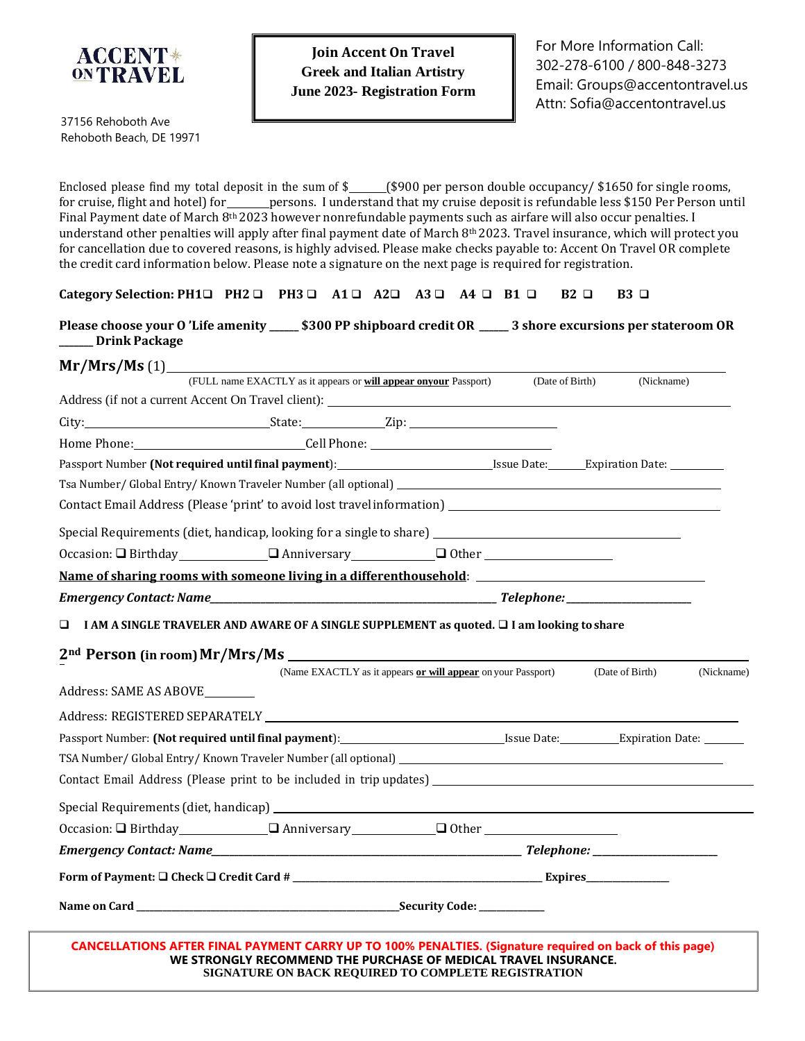

37156 Rehoboth Ave Rehoboth Beach, DE 19971

Enclosed please find my total deposit in the sum of  $\frac{2}{2}$  (\$900 per person double occupancy/ \$1650 for single rooms, for cruise, flight and hotel) for \_\_\_\_\_\_persons. I understand that my cruise deposit is refundable less \$150 Per Person until Final Payment date of March 8<sup>th</sup> 2023 however nonrefundable payments such as airfare will also occur penalties. I understand other penalties will apply after final payment date of March 8th 2023. Travel insurance, which will protect you for cancellation due to covered reasons, is highly advised. Please make checks payable to: Accent On Travel OR complete the credit card information below. Please note a signature on the next page is required for registration.

Please choose your O'Life amenity \_\_\_\_\_ \$300 PP shipboard credit OR \_\_\_\_\_ 3 shore excursions per stateroom OR **\_\_\_\_\_\_\_ Drink Package**

|                                                                                                                                                                                                                                | (FULL name EXACTLY as it appears or will appear onyour Passport) |                                                              | (Date of Birth) | (Nickname)      |            |
|--------------------------------------------------------------------------------------------------------------------------------------------------------------------------------------------------------------------------------|------------------------------------------------------------------|--------------------------------------------------------------|-----------------|-----------------|------------|
|                                                                                                                                                                                                                                |                                                                  |                                                              |                 |                 |            |
|                                                                                                                                                                                                                                |                                                                  |                                                              |                 |                 |            |
|                                                                                                                                                                                                                                |                                                                  |                                                              |                 |                 |            |
| Passport Number (Not required until final payment): Intermal and Seventh Materian Date: The Expiration Date: The Expiration Date:                                                                                              |                                                                  |                                                              |                 |                 |            |
|                                                                                                                                                                                                                                |                                                                  |                                                              |                 |                 |            |
|                                                                                                                                                                                                                                |                                                                  |                                                              |                 |                 |            |
| Special Requirements (diet, handicap, looking for a single to share) _______________________________                                                                                                                           |                                                                  |                                                              |                 |                 |            |
|                                                                                                                                                                                                                                |                                                                  |                                                              |                 |                 |            |
| Name of sharing rooms with someone living in a differenthousehold: _________________________________                                                                                                                           |                                                                  |                                                              |                 |                 |            |
|                                                                                                                                                                                                                                |                                                                  |                                                              |                 |                 |            |
| $\Box$ I AM A SINGLE TRAVELER AND AWARE OF A SINGLE SUPPLEMENT as quoted. $\Box$ I am looking to share                                                                                                                         |                                                                  |                                                              |                 |                 |            |
|                                                                                                                                                                                                                                |                                                                  |                                                              |                 |                 |            |
|                                                                                                                                                                                                                                |                                                                  |                                                              |                 |                 |            |
| Address: SAME AS ABOVE                                                                                                                                                                                                         |                                                                  | (Name EXACTLY as it appears or will appear on your Passport) |                 | (Date of Birth) | (Nickname) |
|                                                                                                                                                                                                                                |                                                                  |                                                              |                 |                 |            |
|                                                                                                                                                                                                                                |                                                                  |                                                              |                 |                 |            |
|                                                                                                                                                                                                                                |                                                                  |                                                              |                 |                 |            |
|                                                                                                                                                                                                                                |                                                                  |                                                              |                 |                 |            |
|                                                                                                                                                                                                                                |                                                                  |                                                              |                 |                 |            |
| Special Requirements (diet, handicap) experience of the control of the control of the control of the control of the control of the control of the control of the control of the control of the control of the control of the c |                                                                  |                                                              |                 |                 |            |
| Occasion: □ Birthday □ Anniversary □ Other □ Other                                                                                                                                                                             |                                                                  |                                                              |                 |                 |            |
|                                                                                                                                                                                                                                |                                                                  |                                                              |                 |                 |            |
|                                                                                                                                                                                                                                |                                                                  |                                                              |                 |                 |            |
|                                                                                                                                                                                                                                |                                                                  |                                                              |                 |                 |            |
|                                                                                                                                                                                                                                |                                                                  |                                                              |                 |                 |            |

**CANCELLATIONS AFTER FINAL PAYMENT CARRY UP TO 100% PENALTIES. (Signature required on back of this page) WE STRONGLY RECOMMEND THE PURCHASE OF MEDICAL TRAVEL INSURANCE. SIGNATURE ON BACK REQUIRED TO COMPLETE REGISTRATION**